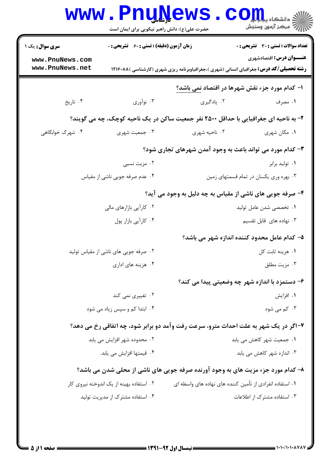|                                                           | حضرت علی(ع): دانش راهبر نیکویی برای ایمان است      |                                                                                      | ان دانشڪاء پيام <mark>ور</mark><br>اڳ مرڪز آزمون وسنڊش                                                                            |
|-----------------------------------------------------------|----------------------------------------------------|--------------------------------------------------------------------------------------|-----------------------------------------------------------------------------------------------------------------------------------|
| <b>سری سوال :</b> یک ۱                                    | <b>زمان آزمون (دقیقه) : تستی : 60 ٪ تشریحی : 0</b> |                                                                                      | <b>تعداد سوالات : تستی : 30 ٪ تشریحی : 0</b>                                                                                      |
| www.PnuNews.com<br>www.PnuNews.net                        |                                                    |                                                                                      | <b>عنـــوان درس:</b> اقتصادشهری<br><b>رشته تحصیلی/کد درس:</b> جغرافیای انسانی (شهری )،جغرافیاوبرنامه ریزی شهری (کارشناسی )۱۲۱۶۰۸۸ |
|                                                           |                                                    |                                                                                      | ۱- کدام مورد جزء نقش شهرها در اقتصاد نمی باشد؟                                                                                    |
| ۰۴ تاریخ                                                  | ۰۳ نوآوري                                          | ۰۲ يادگيري                                                                           | ۰۱ مصرف                                                                                                                           |
|                                                           |                                                    | ۲- به ناحیه ای جغرافیایی با حداقل ۲۵۰۰ نفر جمعیت ساکن در یک ناحیه کوچک، چه می گویند؟ |                                                                                                                                   |
| ۰۴ شهرک خوابگاهی                                          | ۰۳ جمعیت شهری                                      | ۰۲ ناحیه شهری                                                                        | ۰۱ مکان شهری                                                                                                                      |
| ۳- کدام مورد می تواند باعث به وجود آمدن شهرهای تجاری شود؟ |                                                    |                                                                                      |                                                                                                                                   |
|                                                           | ۰۲ مزیت نسبی                                       |                                                                                      | ۰۱ تولید برابر                                                                                                                    |
| ۰۴ عدم صرفه جویی ناشی از مقیاس                            |                                                    | ۰۳ بهره وری یکسان در تمام قسمتهای زمین                                               |                                                                                                                                   |
|                                                           |                                                    | ۴- صرفه جویی های ناشی از مقیاس به چه دلیل به وجود می آید؟                            |                                                                                                                                   |
|                                                           | ۰۲ کارآیی بازارهای مالی                            | ٠١ تخصصي شدن عامل توليد                                                              |                                                                                                                                   |
| ۰۴ کارآیی بازار پول                                       |                                                    | ۰۳ نهاده های قابل تقسیم                                                              |                                                                                                                                   |
|                                                           |                                                    |                                                                                      | ۵– کدام عامل محدود کننده اندازه شهر می باشد؟                                                                                      |
|                                                           | ٠٢ صرفه جويي هاي ناشي از مقياس توليد               |                                                                                      | ٠١. هزينه ثابت كل                                                                                                                 |
| ۰۴ هزینه های اداری                                        |                                                    | ۰۳ مزیت مطلق                                                                         |                                                                                                                                   |
|                                                           |                                                    |                                                                                      | ۶– دستمزد با اندازه شهر چه وضعیتی پیدا می کند؟                                                                                    |
|                                                           | ۰۲ تغییری نمی کند                                  |                                                                                      | ۰۱ افزایش                                                                                                                         |
| ۰۴ ابتدا کم و سپس زیاد می شود                             |                                                    | ۰۳ کم می شود                                                                         |                                                                                                                                   |
|                                                           |                                                    | ۷-اگر در یک شهر به علت احداث مترو، سرعت رفت وآمد دو برابر شود، چه اتفاقی رخ می دهد؟  |                                                                                                                                   |
|                                                           | ۰۲ محدوده شهر افزایش می یابد                       |                                                                                      | ٠١. جمعيت شهر كاهش مى يابد                                                                                                        |
| ۴. قیمتها افزایش می یابد.                                 |                                                    |                                                                                      | ۰۳ اندازه شهر کاهش می یابد                                                                                                        |
|                                                           |                                                    | ۸- کدام مورد جزء مزیت های به وجود آورنده صرفه جویی های ناشی از محلی شدن می باشد؟     |                                                                                                                                   |
|                                                           | ۰۲ استفاده بهینه از یک اندوخته نیروی کار           | ۰۱ استفاده انفرادی از تأمین کننده های نهاده های واسطه ای                             |                                                                                                                                   |
|                                                           | ۰۴ استفاده مشترک از مدیریت تولید                   |                                                                                      | ۰۳ استفاده مشترک از اطلاعات                                                                                                       |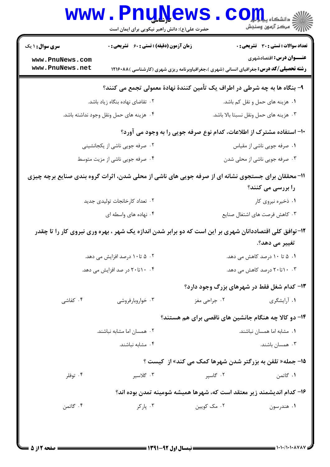|                                    | www.PnuNews<br>حضرت علی(ع): دانش راهبر نیکویی برای ایمان است                                           | $\mathop{\hbox{\bf CO}}\nolimits^{\rm T\!u}_{\rm D\!u}$ and $\mathop{\hbox{\rm co}}\nolimits$ | <br> 7   مرکز آزمون وسنجش                    |
|------------------------------------|--------------------------------------------------------------------------------------------------------|-----------------------------------------------------------------------------------------------|----------------------------------------------|
| <b>سری سوال : ۱ یک</b>             | <b>زمان آزمون (دقیقه) : تستی : 60 ٪ تشریحی : 0</b>                                                     |                                                                                               | <b>تعداد سوالات : تستی : 30 ٪ تشریحی : 0</b> |
| www.PnuNews.com<br>www.PnuNews.net | <b>رشته تحصیلی/کد درس:</b> جغرافیای انسانی (شهری )،جغرافیاوبرنامه ریزی شهری (کارشناسی )۱۲۱۶۰۸۸         |                                                                                               | <b>عنـــوان درس:</b> اقتصادشهری              |
|                                    | ۹- بنگاه ها به چه شرطی در اطراف یک تأمین کنندهٔ نهادهٔ معمولی تجمع می کنند؟                            |                                                                                               |                                              |
|                                    | ۲.  تقاضای نهاده بنگاه زیاد باشد.                                                                      | ۰۱ هزینه های حمل و نقل کم باشد.                                                               |                                              |
|                                    | ۰۴ هزینه های حمل ونقل وجود نداشته باشد.                                                                | ۰۳ هزينه هاى حمل ونقل نسبتا بالا باشد.                                                        |                                              |
|                                    |                                                                                                        | +۱- استفاده مشترک از اطلاعات، کدام نوع صرفه جویی را به وجود می آورد؟                          |                                              |
|                                    | ۰۲ صرفه جویی ناشی از یکجانشینی                                                                         | ٠١ صرفه جويى ناشى از مقياس                                                                    |                                              |
|                                    | ۰۴ صرفه جویی ناشی از مزیت متوسط                                                                        | ۰۳ صرفه جویی ناشی از محلی شدن                                                                 |                                              |
|                                    | 11- محققان برای جستجوی نشانه ای از صرفه جویی های ناشی از محلی شدن، اثرات گروه بندی صنایع برچه چیزی     |                                                                                               | را بررسی می کنند؟                            |
|                                    | ۰۲ تعداد کارخانجات تولیدی جدید                                                                         |                                                                                               | ۰۱ ذخیره نیروی کار                           |
|                                    | ۰۴ نهاده های واسطه ای                                                                                  | ۰۳ کاهش فرصت های اشتغال صنایع                                                                 |                                              |
|                                    | ۱۲-توافق کلی اقتصاددانان شهری بر این است که دو برابر شدن اندازه یک شهر ، بهره وری نیروی کار را تا چقدر |                                                                                               |                                              |
|                                    |                                                                                                        |                                                                                               | تغییر می دهد؟.                               |
| ۰۲ ۵ تا ۱۰ درصد افزایش می دهد.     |                                                                                                        | ۰۱ ۵ تا ۱۰ درصد کاهش می دهد.                                                                  |                                              |
|                                    | ۰۴ ۲۰ تا ۲۰ در صد افزایش می دهد.                                                                       | ۰.۳ ۲۰ تا ۲۰ درصد کاهش می دهد.                                                                |                                              |
|                                    |                                                                                                        | ۱۳- کدام شغل فقط در شهرهای بزرگ وجود دارد؟                                                    |                                              |
| ۰۴ کفاشی                           | ۰۳ خواروبارفروشی                                                                                       | ۰۲ جراح <sub>ی مغز</sub>                                                                      | ۰۱ آرایشگری                                  |
|                                    |                                                                                                        | ۱۴- دو کالا چه هنگام جانشین های ناقصی برای هم هستند؟                                          |                                              |
|                                    | ۰۲ همسان اما مشابه نباشند.                                                                             |                                                                                               | ٠١. مشابه اما همسان نباشند.                  |
|                                    | ۰۴ مشابه نباشند.                                                                                       |                                                                                               | ۰۳ همسان باشند.                              |
|                                    |                                                                                                        | <b>۱۵- جمله« تلفن به بزرگتر شدن شهرها کمک می کند» از کیست ؟</b>                               |                                              |
| ۰۴ توفلر                           | ۰۳ گلاسير                                                                                              | ۰۲ گاسیر                                                                                      | ۰۱ گاتمن                                     |
|                                    | ۱۶– کدام اندیشمند زیر معتقد است که، شهرها همیشه شومینه تمدن بوده اند؟                                  |                                                                                               |                                              |
| ۰۴ گاتمن                           | ۰۳ پارکر                                                                                               | ۰۲ مک کويين                                                                                   | ۰۱ هندرسون                                   |
|                                    |                                                                                                        |                                                                                               |                                              |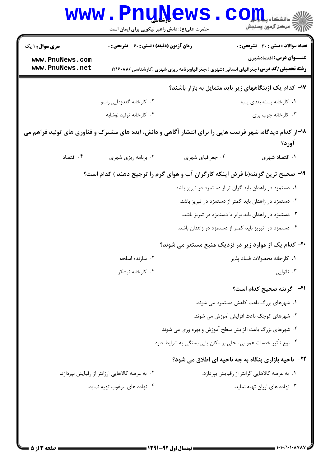|                                                              | www.PnuNews<br>حضرت علی(ع): دانش راهبر نیکویی برای ایمان است                                             |                                                                                                                                                                                                                                                                                                   | ان دانشگاه پیام در<br>انگر دانشگاه پیام در                                                                                |  |
|--------------------------------------------------------------|----------------------------------------------------------------------------------------------------------|---------------------------------------------------------------------------------------------------------------------------------------------------------------------------------------------------------------------------------------------------------------------------------------------------|---------------------------------------------------------------------------------------------------------------------------|--|
| <b>سری سوال : ۱ یک</b><br>www.PnuNews.com<br>www.PnuNews.net | <b>زمان آزمون (دقیقه) : تستی : 60 ٪ تشریحی : 0</b>                                                       | <b>رشته تحصیلی/کد درس:</b> جغرافیای انسانی (شهری )،جغرافیاوبرنامه ریزی شهری (کارشناسی )۱۲۱۶۰۸۸                                                                                                                                                                                                    | تعداد سوالات : تستى : 30 ٪ تشريحي : 0<br><b>عنـــوان درس:</b> اقتصادشهری                                                  |  |
| ۱۷- کدام یک ازبنگاههای زیر باید متمایل به بازار باشند؟       |                                                                                                          |                                                                                                                                                                                                                                                                                                   |                                                                                                                           |  |
|                                                              | ۰۲ کارخانه گندزدایی راسو                                                                                 |                                                                                                                                                                                                                                                                                                   | ۰۱ كارخانه بسته بندى پنبه                                                                                                 |  |
|                                                              | ۰۴ کارخانه تولید نوشابه                                                                                  |                                                                                                                                                                                                                                                                                                   | ۰۳ کارخانه چوب بری                                                                                                        |  |
|                                                              | ۱۸–از کدام دیدگاه، شهر فرصت هایی را برای انتشار آگاهی و دانش، ایده های مشترک و فناوری های تولید فراهم می |                                                                                                                                                                                                                                                                                                   | آورد؟                                                                                                                     |  |
| ۰۴ اقتصاد                                                    | ۰۳ برنامه ریزی شهری                                                                                      | ۰۲ جغرافیای شهری                                                                                                                                                                                                                                                                                  | ۰۱ اقتصاد شهری                                                                                                            |  |
|                                                              | ۱۹- صحیح ترین گزینه(با فرض اینکه کارگران آب و هوای گرم را ترجیح دهند ) کدام است؟                         | ۰۱ دستمزد در زاهدان باید گران تر از دستمزد در تبریز باشد.<br>۰۲ دستمزد در زاهدان باید کمتر از دستمزد در تبریز باشد.<br>۰۳ دستمزد در زاهدان باید برابر با دستمزد در تبریز باشد.<br>۰۴ دستمزد در تبریز باید کمتر از دستمزد در زاهدان باشد.<br>۲۰– کدام یک از موارد زیر در نزدیک منبع مستقر می شوند؟ |                                                                                                                           |  |
|                                                              | ۰۲ سازنده اسلحه                                                                                          |                                                                                                                                                                                                                                                                                                   | ٠١ كارخانه محصولات فساد پذير                                                                                              |  |
|                                                              | ۰۴ کارخانه نیشکر                                                                                         |                                                                                                                                                                                                                                                                                                   | ۰۳ نانوایی                                                                                                                |  |
|                                                              |                                                                                                          | ۰۳ شهرهای بزرگ باعث افزایش سطح آموزش و بهره وری می شوند<br>۰۴ نوع تأثیر خدمات عمومی محلی بر مکان یابی بستگی به شرایط دارد.<br><b>۲۲- ناحیه بازاری بنگاه به چه ناحیه ای اطلاق می شود؟</b>                                                                                                          | <b>٣١-۔ گزينه صحيح کدام است؟</b><br>۰۱ شهرهای بزرگ باعث کاهش دستمزد می شوند.<br>۰۲ شهرهای کوچک باعث افزایش آموزش می شوند. |  |
|                                                              | ۰۲ به عرضه کالاهایی ارزانتر از رقبایش بپردازد.                                                           |                                                                                                                                                                                                                                                                                                   | ٠١. به عرضه كالاهايي گرانتر از رقبايش بپردازد.                                                                            |  |
|                                                              | ۰۴ نهاده های مرغوب تهیه نماید.                                                                           |                                                                                                                                                                                                                                                                                                   | ۰۳ نهاده های ارزان تهیه نماید.                                                                                            |  |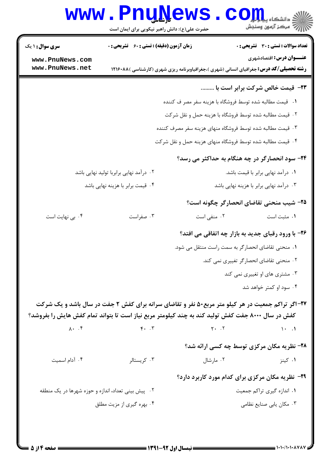|                                                                                                   | www.PnuNews<br>حضرت علی(ع): دانش راهبر نیکویی برای ایمان است |                                                            | ان دانشگاه پیام اوران<br>ان مرکز آزمون وسنجش                                                                                      |  |  |
|---------------------------------------------------------------------------------------------------|--------------------------------------------------------------|------------------------------------------------------------|-----------------------------------------------------------------------------------------------------------------------------------|--|--|
| <b>سری سوال : ۱ یک</b>                                                                            | <b>زمان آزمون (دقیقه) : تستی : 60 ٪ تشریحی : 0</b>           |                                                            | تعداد سوالات : تستي : 30 - تشريحي : 0                                                                                             |  |  |
| www.PnuNews.com<br>www.PnuNews.net                                                                |                                                              |                                                            | <b>عنـــوان درس:</b> اقتصادشهری<br><b>رشته تحصیلی/کد درس:</b> جغرافیای انسانی (شهری )،جغرافیاوبرنامه ریزی شهری (کارشناسی )۱۲۱۶۰۸۸ |  |  |
|                                                                                                   |                                                              |                                                            | ۲۳- قیمت خالص شرکت برابر است با                                                                                                   |  |  |
|                                                                                                   |                                                              | ١.   قيمت مطالبه شده توسط فروشگاه با هزينه سفر مصر ف كننده |                                                                                                                                   |  |  |
|                                                                                                   |                                                              | ۰۲ قیمت مطالبه شده توسط فروشگاه با هزینه حمل و نقل شرکت    |                                                                                                                                   |  |  |
| ۰۳ قیمت مطالبه شده توسط فروشگاه منهای هزینه سفر مصرف کننده                                        |                                                              |                                                            |                                                                                                                                   |  |  |
|                                                                                                   | ۰۴ قیمت مطالبه شده توسط فروشگاه منهای هزینه حمل و نقل شرکت   |                                                            |                                                                                                                                   |  |  |
|                                                                                                   |                                                              |                                                            | <b>۳۴- سود انحصارگر در چه هنگام به حداکثر می رسد؟</b>                                                                             |  |  |
|                                                                                                   | ۰۲ درآمد نهایی برابربا تولید نهایی باشد                      |                                                            | ۰۱ درآمد نهایی برابر با قیمت باشد.                                                                                                |  |  |
|                                                                                                   | ۴. قیمت برابر با هزینه نهایی باشد                            | ۰۳ درآمد نهایی برابر با هزینه نهایی باشد                   |                                                                                                                                   |  |  |
|                                                                                                   |                                                              |                                                            | ۲۵– شیب منحنی تقاضای انحصارگر چگونه است؟                                                                                          |  |  |
| ۰۴ بی نهایت است                                                                                   | ۰۳ صفراست                                                    | ۰۲ منفی است                                                | ٠١ مثبت است                                                                                                                       |  |  |
|                                                                                                   |                                                              |                                                            | ۲۶- با ورود رقبای جدید به بازار چه اتفاقی می افتد؟                                                                                |  |  |
|                                                                                                   |                                                              |                                                            | ۰۱ منحنی تقاضای انحصارگر به سمت راست منتقل می شود.                                                                                |  |  |
|                                                                                                   |                                                              |                                                            | ۰۲ منحنی تقاضای انحصارگر تغییری نمی کند.                                                                                          |  |  |
|                                                                                                   |                                                              |                                                            | ۰۳ مشتری های او تغییری نمی کند                                                                                                    |  |  |
|                                                                                                   |                                                              |                                                            | ۰۴ سود او کمتر خواهد شد                                                                                                           |  |  |
|                                                                                                   |                                                              |                                                            | ۲۷-اگر تراکم جمعیت در هر کیلو متر مربع۵۰ نفر و تقاضای سرانه برای کفش ۲ جفت در سال باشد و یک شرکت                                  |  |  |
| کفش در سال ۸۰۰۰ جفت کفش تولید کند به چند کیلومتر مربع نیاز است تا بتواند تمام کفش هایش را بفروشد؟ |                                                              |                                                            |                                                                                                                                   |  |  |
| $\lambda$ . $\cdot$ $\uparrow$                                                                    | $F.$ $\ddot{r}$                                              | $\gamma$ . $\gamma$                                        | $\mathcal{N}$ $\mathcal{N}$                                                                                                       |  |  |
|                                                                                                   |                                                              |                                                            | ۲۸- نظریه مکان مرکزی توسط چه کسی ارائه شد؟                                                                                        |  |  |
| ۰۴ آدام اسمیت                                                                                     | ۰۳ کریستالر                                                  | ۰۲ مارشال                                                  | ۰۱ کینز                                                                                                                           |  |  |
|                                                                                                   |                                                              |                                                            | ۲۹- نظریه مکان مرکزی برای کدام مورد کاربرد دارد؟                                                                                  |  |  |
| ۰۲ پیش بینی تعداد، اندازه و حوزه شهرها در یک منطقه                                                |                                                              |                                                            | ۰۱ اندازه گیری تراکم جمعیت                                                                                                        |  |  |
| ۰۴ بهره گیری از مزیت مطلق                                                                         |                                                              |                                                            | ۰۳ مکان یابی صنایع نظامی                                                                                                          |  |  |
|                                                                                                   |                                                              |                                                            |                                                                                                                                   |  |  |